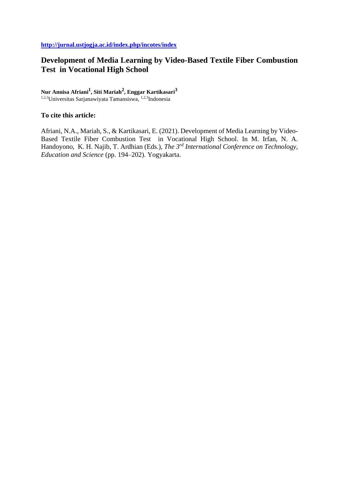# **Development of Media Learning by Video-Based Textile Fiber Combustion Test in Vocational High School**

**Nur Annisa Afriani<sup>1</sup> , Siti Mariah<sup>2</sup> , Enggar Kartikasari<sup>3</sup>** 1,2,3Universitas Sarjanawiyata Tamansiswa, 1,2,3Indonesia

**To cite this article:** 

Afriani, N.A., Mariah, S., & Kartikasari, E. (2021). Development of Media Learning by Video-Based Textile Fiber Combustion Test in Vocational High School. In M. Irfan, N. A. Handoyono, K. H. Najib, T. Ardhian (Eds.), *The 3rd International Conference on Technology, Education and Science* (pp. 194–202). Yogyakarta.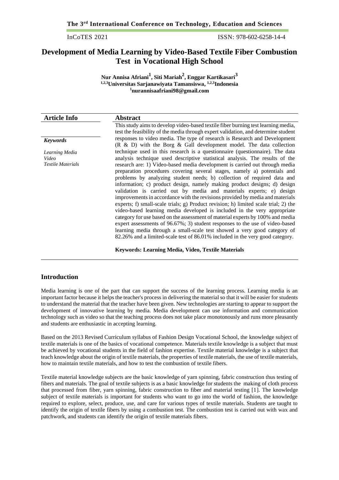InCoTES 2021 ISSN: 978-602-6258-14-4

# **Development of Media Learning by Video-Based Textile Fiber Combustion Test in Vocational High School**

**Nur Annisa Afriani<sup>1</sup> , Siti Mariah<sup>2</sup> , Enggar Kartikasari<sup>3</sup> 1,2,3Universitas Sarjanawiyata Tamansiswa, 1,2,3Indonesia <sup>1</sup>nurannisaafriani98@gmail.com**

| <b>Article Info</b>                                 | <b>Abstract</b>                                                                                                                                                                                                                                                                                                                                                                                                                                                                                                                                                                                                                                                                                                                                                                                                                                                                                                                                                                                                                                                                                                                          |  |
|-----------------------------------------------------|------------------------------------------------------------------------------------------------------------------------------------------------------------------------------------------------------------------------------------------------------------------------------------------------------------------------------------------------------------------------------------------------------------------------------------------------------------------------------------------------------------------------------------------------------------------------------------------------------------------------------------------------------------------------------------------------------------------------------------------------------------------------------------------------------------------------------------------------------------------------------------------------------------------------------------------------------------------------------------------------------------------------------------------------------------------------------------------------------------------------------------------|--|
|                                                     | This study aims to develop video-based textile fiber burning test learning media,<br>test the feasibility of the media through expert validation, and determine student                                                                                                                                                                                                                                                                                                                                                                                                                                                                                                                                                                                                                                                                                                                                                                                                                                                                                                                                                                  |  |
| <b>Keywords</b>                                     | responses to video media. The type of research is Research and Development<br>$(R \& D)$ with the Borg & Gall development model. The data collection                                                                                                                                                                                                                                                                                                                                                                                                                                                                                                                                                                                                                                                                                                                                                                                                                                                                                                                                                                                     |  |
| Learning Media<br>Video<br><b>Textile Materials</b> | technique used in this research is a questionnaire (questionnaire). The data<br>analysis technique used descriptive statistical analysis. The results of the<br>research are: 1) Video-based media development is carried out through media<br>preparation procedures covering several stages, namely a) potentials and<br>problems by analyzing student needs; b) collection of required data and<br>information; c) product design, namely making product designs; d) design<br>validation is carried out by media and materials experts; e) design<br>improvements in accordance with the revisions provided by media and materials<br>experts; f) small-scale trials; g) Product revision; h) limited scale trial; 2) the<br>video-based learning media developed is included in the very appropriate<br>category for use based on the assessment of material experts by 100% and media<br>expert assessments of 96.67%; 3) student responses to the use of video-based<br>learning media through a small-scale test showed a very good category of<br>82.26% and a limited-scale test of 86.01% included in the very good category. |  |
|                                                     |                                                                                                                                                                                                                                                                                                                                                                                                                                                                                                                                                                                                                                                                                                                                                                                                                                                                                                                                                                                                                                                                                                                                          |  |

**Keywords: Learning Media, Video, Textile Materials**

## **Introduction**

Media learning is one of the part that can support the success of the learning process. Learning media is an important factor because it helps the teacher's process in delivering the material so that it will be easier for students to understand the material that the teacher have been given. New technologies are starting to appear to support the development of innovative learning by media. Media development can use information and communication technology such as video so that the teaching process does not take place monotonously and runs more pleasantly and students are enthusiastic in accepting learning.

Based on the 2013 Revised Curriculum syllabus of Fashion Design Vocational School, the knowledge subject of textile materials is one of the basics of vocational competence. Materials textile knowledge is a subject that must be achieved by vocational students in the field of fashion expertise. Textile material knowledge is a subject that teach knowledge about the origin of textile materials, the properties of textile materials, the use of textile materials, how to maintain textile materials, and how to test the combustion of textile fibers.

Textile material knowledge subjects are the basic knowledge of yarn spinning, fabric construction thus testing of fibers and materials. The goal of textile subjects is as a basic knowledge for students the making of cloth process that processed from fiber, yarn spinning, fabric construction to fiber and material testing [1]. The knowledge subject of textile materials is important for students who want to go into the world of fashion, the knowledge required to explore, select, produce, use, and care for various types of textile materials. Students are taught to identify the origin of textile fibers by using a combustion test. The combustion test is carried out with wax and patchwork, and students can identify the origin of textile materials fibers.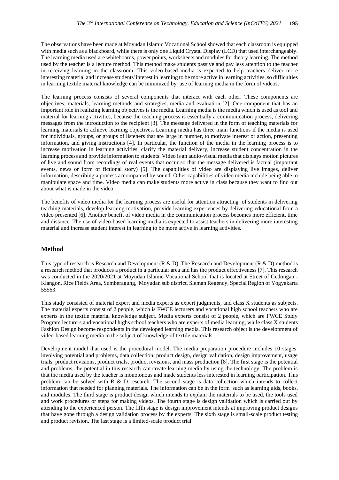The observations have been made at Moyudan Islamic Vocational School showed that each classroom is equipped with media such as a blackboard, while there is only one Liquid Crystal Display (LCD) that used interchangeably. The learning media used are whiteboards, power points, worksheets and modules for theory learning. The method used by the teacher is a lecture method. This method make students passive and pay less attention to the teacher in receiving learning in the classroom. This video-based media is expected to help teachers deliver more interesting material and increase students' interest in learning to be more active in learning activities, so difficulties in learning textile material knowledge can be minimized by use of learning media in the form of videos.

The learning process consists of several components that interact with each other. These components are objectives, materials, learning methods and strategies, media and evaluation [2]. One component that has an important role in realizing learning objectives is the media. Learning media is the media which is used as tool and material for learning activities, because the teaching process is essentially a communication process, delivering messages from the introduction to the recipient [3]. The message delivered in the form of teaching materials for learning materials to achieve learning objectives. Learning media has three main functions if the media is used for individuals, groups, or groups of listeners that are large in number, to motivate interest or action, presenting information, and giving instructions [4]. In particular, the function of the media in the learning process is to increase motivation in learning activities, clarify the material delivery, increase student concentration in the learning process and provide information to students. Video is an audio-visual media that displays motion pictures of live and sound from recordings of real events that occur so that the message delivered is factual (important events, news or form of fictional story) [5]. The capabilities of video are displaying live images, deliver information, describing a process accompanied by sound. Other capabilities of video media include being able to manipulate space and time. Video media can make students more active in class because they want to find out about what is made in the video.

The benefits of video media for the learning process are useful for attention attracting of students in delivering teaching materials, develop learning motivation, provide learning experiences by delivering educational from a video presented [6]. Another benefit of video media in the communication process becomes more efficient, time and distance. The use of video-based learning media is expected to assist teachers in delivering more interesting material and increase student interest in learning to be more active in learning activities.

## **Method**

This type of research is Research and Development (R & D). The Research and Development (R & D) method is a research method that produces a product in a particular area and has the product effectiveness [7]. This research was conducted in the 2020/2021 at Moyudan Islamic Vocational School that is located at Street of Gedongan - Klangon, Rice Fields Area, Sumberagung, Moyudan sub district, Sleman Regency, Special Region of Yogyakarta 55563.

This study consisted of material expert and media experts as expert judgments, and class X students as subjects. The material experts consist of 2 people, which is FWCE lecturers and vocational high school teachers who are experts in the textile material knowledge subject. Media experts consist of 2 people, which are FWCE Study Program lecturers and vocational highs school teachers who are experts of media learning, while class X students Fashion Design become respondents in the developed learning media. This research object is the development of video-based learning media in the subject of knowledge of textile materials.

Development model that used is the procedural model. The media preparation procedure includes 10 stages, involving potential and problems, data collection, product design, design validation, design improvement, usage trials, product revisions, product trials, product revisions, and mass production [8]. The first stage is the potential and problems, the potential in this research can create learning media by using the technology. The problem is that the media used by the teacher is monotonous and made students less interested in learning participation. This problem can be solved with R & D research. The second stage is data collection which intends to collect information that needed for planning materials. The information can be in the form such as learning aids, books, and modules. The third stage is product design which intends to explain the materials to be used, the tools used and work procedures or steps for making videos. The fourth stage is design validation which is carried out by attending to the experienced person. The fifth stage is design improvement intends at improving product designs that have gone through a design validation process by the experts. The sixth stage is small-scale product testing and product revision. The last stage is a limited-scale product trial.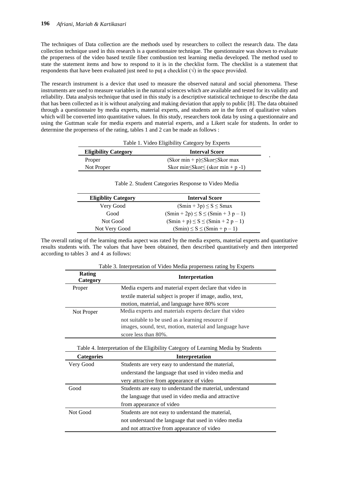The techniques of Data collection are the methods used by researchers to collect the research data. The data collection technique used in this research is a questionnaire technique. The questionnaire was shown to evaluate the properness of the video based textile fiber combustion test learning media developed. The method used to state the statement items and how to respond to it is in the checklist form. The checklist is a statement that respondents that have been evaluated just need to put a checklist  $(\sqrt{\ } )$  in the space provided.

The research instrument is a device that used to measure the observed natural and social phenomena. These instruments are used to measure variables in the natural sciences which are available and tested for its validity and reliability. Data analysis technique that used in this study is a descriptive statistical technique to describe the data that has been collected as it is without analyzing and making deviation that apply to public [8]. The data obtained through a questionnaire by media experts, material experts, and students are in the form of qualitative values which will be converted into quantitative values. In this study, researchers took data by using a questionnaire and using the Guttman scale for media experts and material experts, and a Likert scale for students. In order to determine the properness of the rating, tables 1 and 2 can be made as follows :

| Table 1. Video Eligibility Category by Experts |                                               |  |
|------------------------------------------------|-----------------------------------------------|--|
| <b>Eligibility Category</b>                    | <b>Interval Score</b>                         |  |
| Proper                                         | $(Skor min + p) \leq Skor \leq Skor max$      |  |
| Not Proper                                     | Skor min $\leq$ Skor $\leq$ (skor min + p -1) |  |

| <b>Eligiblity Category</b> | <b>Interval Score</b>                   |
|----------------------------|-----------------------------------------|
| Very Good                  | $(Smin + 3p) \le S \le Smax$            |
| Good                       | $(Smin + 2p) \le S \le (Smin + 3p - 1)$ |
| Not Good                   | $(Smin + p) \le S \le (Smin + 2 p - 1)$ |
| Not Very Good              | $(Smin) \le S \le (Smin + p - 1)$       |

Table 2. Student Categories Response to Video Media

The overall rating of the learning media aspect was rated by the media experts, material experts and quantitative results students with. The values that have been obtained, then described quantitatively and then interpreted according to tables 3 and 4 as follows:

|                                                                                   | Table 3. Interpretation of Video Media properness rating by Experts                                                                  |  |
|-----------------------------------------------------------------------------------|--------------------------------------------------------------------------------------------------------------------------------------|--|
| Rating<br>Category                                                                | Interpretation                                                                                                                       |  |
| Proper                                                                            | Media experts and material expert declare that video in                                                                              |  |
|                                                                                   | textile material subject is proper if image, audio, text,                                                                            |  |
|                                                                                   | motion, material, and language have 80% score                                                                                        |  |
| Not Proper                                                                        | Media experts and materials experts declare that video                                                                               |  |
|                                                                                   | not suitable to be used as a learning resource if<br>images, sound, text, motion, material and language have<br>score less than 80%. |  |
| Table 4. Interpretation of the Eligibility Category of Learning Media by Students |                                                                                                                                      |  |
|                                                                                   |                                                                                                                                      |  |
| <b>Categories</b>                                                                 | Interpretation                                                                                                                       |  |
| Very Good                                                                         | Students are very easy to understand the material,                                                                                   |  |
|                                                                                   | understand the language that used in video media and                                                                                 |  |
|                                                                                   | very attractive from appearance of video                                                                                             |  |
| Good                                                                              | Students are easy to understand the material, understand                                                                             |  |
|                                                                                   | the language that used in video media and attractive                                                                                 |  |
|                                                                                   | from appearance of video                                                                                                             |  |
| Not Good                                                                          | Students are not easy to understand the material,                                                                                    |  |
|                                                                                   | not understand the language that used in video media                                                                                 |  |

 $T_{\text{a}}$ kla 3. Interpretation of Video Media properness rating by Experts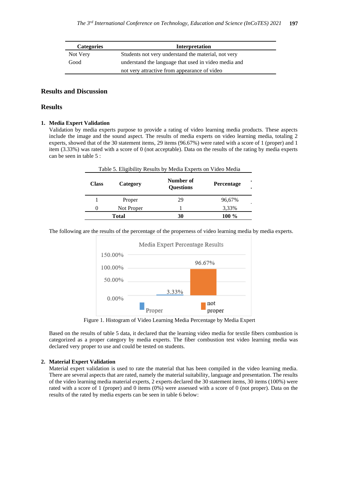| <b>Categories</b> | Interpretation                                       |
|-------------------|------------------------------------------------------|
| Not Very          | Students not very understand the material, not very  |
| Good              | understand the language that used in video media and |
|                   | not very attractive from appearance of video         |

### **Results and Discussion**

### **Results**

### **1. Media Expert Validation**

Validation by media experts purpose to provide a rating of video learning media products. These aspects include the image and the sound aspect. The results of media experts on video learning media, totaling 2 experts, showed that of the 30 statement items, 29 items (96.67%) were rated with a score of 1 (proper) and 1 item (3.33%) was rated with a score of 0 (not acceptable). Data on the results of the rating by media experts can be seen in table 5 :

| Table 5. Eligibility Results by Media Experts on Video Media |            |                               |                   |
|--------------------------------------------------------------|------------|-------------------------------|-------------------|
| <b>Class</b>                                                 | Category   | Number of<br><b>Ouestions</b> | <b>Percentage</b> |
|                                                              | Proper     | 29                            | 96,67%            |
| $\Omega$                                                     | Not Proper |                               | 3,33%             |
| Total                                                        |            | 30                            | $100\%$           |

The following are the results of the percentage of the properness of video learning media by media experts.



Figure 1. Histogram of Video Learning Media Percentage by Media Expert

Based on the results of table 5 data, it declared that the learning video media for textile fibers combustion is categorized as a proper category by media experts. The fiber combustion test video learning media was declared very proper to use and could be tested on students.

### **2. Material Expert Validation**

Material expert validation is used to rate the material that has been compiled in the video learning media. There are several aspects that are rated, namely the material suitability, language and presentation. The results of the video learning media material experts, 2 experts declared the 30 statement items, 30 items (100%) were rated with a score of 1 (proper) and 0 items (0%) were assessed with a score of 0 (not proper). Data on the results of the rated by media experts can be seen in table 6 below: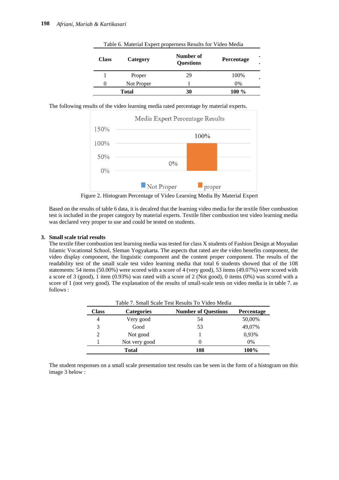| <b>Class</b> | Category   | Number of<br><b>Questions</b> | <b>Percentage</b> |
|--------------|------------|-------------------------------|-------------------|
|              | Proper     | 29                            | 100%              |
| 0            | Not Proper |                               | 0%                |
| Total        |            | 30                            | $100\%$           |

Table 6. Material Expert properness Results for Video Media

The following results of the video learning media rated percentage by material experts.



Figure 2. Histogram Percentage of Video Learning Media By Material Expert

Based on the results of table 6 data, it is decalred that the learning video media for the textile fiber combustion test is included in the proper category by material experts. Textile fiber combustion test video learning media was declared very proper to use and could be tested on students.

#### **3. Small scale trial results**

The textile fiber combustion test learning media was tested for class X students of Fashion Design at Moyudan Islamic Vocational School, Sleman Yogyakarta. The aspects that rated are the video benefits component, the video display component, the linguistic component and the content proper component. The results of the readability test of the small scale test video learning media that total 6 students showed that of the 108 statements: 54 items (50.00%) were scored with a score of 4 (very good), 53 items (49.07%) were scored with a score of 3 (good), 1 item (0.93%) was rated with a score of 2 (Not good), 0 items (0%) was scored with a score of 1 (not very good). The explanation of the results of small-scale tests on video media is in table 7. as follows :

| Table 7. Small Scale Test Results To Video Media |                   |                            |            |
|--------------------------------------------------|-------------------|----------------------------|------------|
| Class                                            | <b>Categories</b> | <b>Number of Questions</b> | Percentage |
| 4                                                | Very good         | 54                         | 50,00%     |
| 3                                                | Good              | 53                         | 49,07%     |
| $\overline{c}$                                   | Not good          |                            | 0,93%      |
|                                                  | Not very good     | $\mathbf{\Omega}$          | 0%         |
| Total                                            |                   | 108                        | 100%       |

The student responses on a small scale presentation test results can be seen in the form of a histogram on this image 3 below :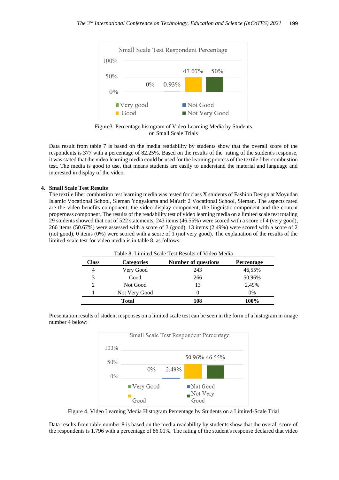

Figure3. Percentage histogram of Video Learning Media by Students on Small Scale Trials

Data result from table 7 is based on the media readability by students show that the overall score of the respondents is 377 with a percentage of 82.25%. Based on the results of the rating of the student's response, it was stated that the video learning media could be used for the learning process of the textile fiber combustion test. The media is good to use, that means students are easily to understand the material and language and interested in display of the video.

### **4. Small Scale Test Results**

The textile fiber combustion test learning media was tested for class X students of Fashion Design at Moyudan Islamic Vocational School, Sleman Yogyakarta and Ma'arif 2 Vocational School, Sleman. The aspects rated are the video benefits component, the video display component, the linguistic component and the content properness component. The results of the readability test of video learning media on a limited scale test totaling 29 students showed that out of 522 statements, 243 items (46.55%) were scored with a score of 4 (very good), 266 items (50.67%) were assessed with a score of 3 (good), 13 items (2.49%) were scored with a score of 2 (not good), 0 items (0%) were scored with a score of 1 (not very good). The explanation of the results of the limited-scale test for video media is in table 8. as follows:

|                             |                   | Table 8. Limited Scale Test Results of Video Media |                   |
|-----------------------------|-------------------|----------------------------------------------------|-------------------|
| <b>Class</b>                | <b>Categories</b> | <b>Number of questions</b>                         | <b>Percentage</b> |
| 4                           | Very Good         | 243                                                | 46,55%            |
| 3                           | Good              | 266                                                | 50,96%            |
| $\mathcal{D}_{\mathcal{L}}$ | Not Good          | 13                                                 | 2,49%             |
|                             | Not Very Good     |                                                    | 0%                |
| <b>Total</b>                |                   | 108                                                | 100%              |

Presentation results of student responses on a limited scale test can be seen in the form of a histogram in image number 4 below:



Figure 4. Video Learning Media Histogram Percentage by Students on a Limited-Scale Trial

Data results from table number 8 is based on the media readability by students show that the overall score of the respondents is 1.796 with a percentage of 86.01%. The rating of the student's response declared that video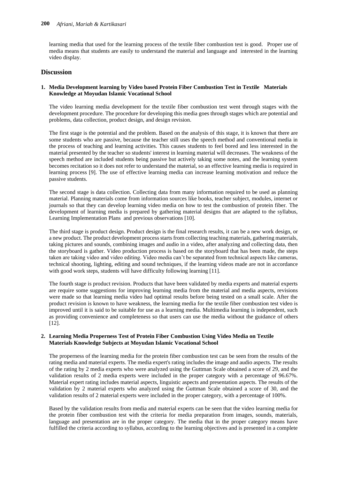learning media that used for the learning process of the textile fiber combustion test is good. Proper use of media means that students are easily to understand the material and language and interested in the learning video display.

## **Discussion**

### **1. Media Development learning by Video based Protein Fiber Combustion Test in Textile Materials Knowledge at Moyudan Islamic Vocational School**

The video learning media development for the textile fiber combustion test went through stages with the development procedure. The procedure for developing this media goes through stages which are potential and problems, data collection, product design, and design revision.

The first stage is the potential and the problem. Based on the analysis of this stage, it is known that there are some students who are passive, because the teacher still uses the speech method and conventional media in the process of teaching and learning activities. This causes students to feel bored and less interested in the material presented by the teacher so students' interest in learning material will decreases. The weakness of the speech method are included students being passive but actively taking some notes, and the learning system becomes recitation so it does not refer to understand the material, so an effective learning media is required in learning process [9]. The use of effective learning media can increase learning motivation and reduce the passive students.

The second stage is data collection. Collecting data from many information required to be used as planning material. Planning materials come from information sources like books, teacher subject, modules, internet or journals so that they can develop learning video media on how to test the combustion of protein fiber. The development of learning media is prepared by gathering material designs that are adapted to the syllabus, Learning Implementation Plans and previous observations [10].

The third stage is product design. Product design is the final research results, it can be a new work design, or a new product. The product development process starts from collecting teaching materials, gathering materials, taking pictures and sounds, combining images and audio in a video, after analyzing and collecting data, then the storyboard is gather. Video production process is based on the storyboard that has been made, the steps taken are taking video and video editing. Video media can't be separated from technical aspects like cameras, technical shooting, lighting, editing and sound techniques, if the learning videos made are not in accordance with good work steps, students will have difficulty following learning [11].

The fourth stage is product revision. Products that have been validated by media experts and material experts are require some suggestions for improving learning media from the material and media aspects, revisions were made so that learning media video had optimal results before being tested on a small scale. After the product revision is known to have weakness, the learning media for the textile fiber combustion test video is improved until it is said to be suitable for use as a learning media. Multimedia learning is independent, such as providing convenience and completeness so that users can use the media without the guidance of others [12].

### **2. Learning Media Properness Test of Protein Fiber Combustion Using Video Media on Textile Materials Knowledge Subjects at Moyudan Islamic Vocational School**

The properness of the learning media for the protein fiber combustion test can be seen from the results of the rating media and material experts. The media expert's rating includes the image and audio aspects. The results of the rating by 2 media experts who were analyzed using the Guttman Scale obtained a score of 29, and the validation results of 2 media experts were included in the proper category with a percentage of 96.67%. Material expert rating includes material aspects, linguistic aspects and presentation aspects. The results of the validation by 2 material experts who analyzed using the Guttman Scale obtained a score of 30, and the validation results of 2 material experts were included in the proper category, with a percentage of 100%.

Based by the validation results from media and material experts can be seen that the video learning media for the protein fiber combustion test with the criteria for media preparation from images, sounds, materials, language and presentation are in the proper category. The media that in the proper category means have fulfilled the criteria according to syllabus, according to the learning objectives and is presented in a complete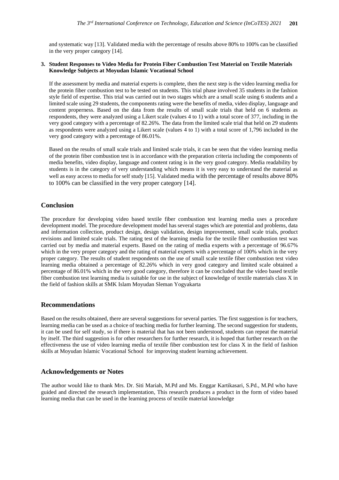and systematic way [13]. Validated media with the percentage of results above 80% to 100% can be classified in the very proper category [14].

#### **3. Student Responses to Video Media for Protein Fiber Combustion Test Material on Textile Materials Knowledge Subjects at Moyudan Islamic Vocational School**

If the assessment by media and material experts is complete, then the next step is the video learning media for the protein fiber combustion test to be tested on students. This trial phase involved 35 students in the fashion style field of expertise. This trial was carried out in two stages which are a small scale using 6 students and a limited scale using 29 students, the components rating were the benefits of media, video display, language and content properness. Based on the data from the results of small scale trials that held on 6 students as respondents, they were analyzed using a Likert scale (values 4 to 1) with a total score of 377, including in the very good category with a percentage of 82.26%. The data from the limited scale trial that held on 29 students as respondents were analyzed using a Likert scale (values 4 to 1) with a total score of 1,796 included in the very good category with a percentage of 86.01%.

Based on the results of small scale trials and limited scale trials, it can be seen that the video learning media of the protein fiber combustion test is in accordance with the preparation criteria including the components of media benefits, video display, language and content rating is in the very good category. Media readability by students is in the category of very understanding which means it is very easy to understand the material as well as easy access to media for self study [15]. Validated media with the percentage of results above 80% to 100% can be classified in the very proper category [14].

# **Conclusion**

The procedure for developing video based textile fiber combustion test learning media uses a procedure development model. The procedure development model has several stages which are potential and problems, data and information collection, product design, design validation, design improvement, small scale trials, product revisions and limited scale trials. The rating test of the learning media for the textile fiber combustion test was carried out by media and material experts. Based on the rating of media experts with a percentage of 96.67% which in the very proper category and the rating of material experts with a percentage of 100% which in the very proper category. The results of student respondents on the use of small scale textile fiber combustion test video learning media obtained a percentage of 82.26% which in very good category and limited scale obtained a percentage of 86.01% which in the very good category, therefore it can be concluded that the video based textile fiber combustion test learning media is suitable for use in the subject of knowledge of textile materials class X in the field of fashion skills at SMK Islam Moyudan Sleman Yogyakarta

## **Recommendations**

Based on the results obtained, there are several suggestions for several parties. The first suggestion is for teachers, learning media can be used as a choice of teaching media for further learning. The second suggestion for students, it can be used for self study, so if there is material that has not been understood, students can repeat the material by itself. The third suggestion is for other researchers for further research, it is hoped that further research on the effectiveness the use of video learning media of textile fiber combustion test for class X in the field of fashion skills at Moyudan Islamic Vocational School for improving student learning achievement.

### **Acknowledgements or Notes**

The author would like to thank Mrs. Dr. Siti Mariah, M.Pd and Ms. Enggar Kartikasari, S.Pd., M.Pd who have guided and directed the research implementation, This research produces a product in the form of video based learning media that can be used in the learning process of textile material knowledge